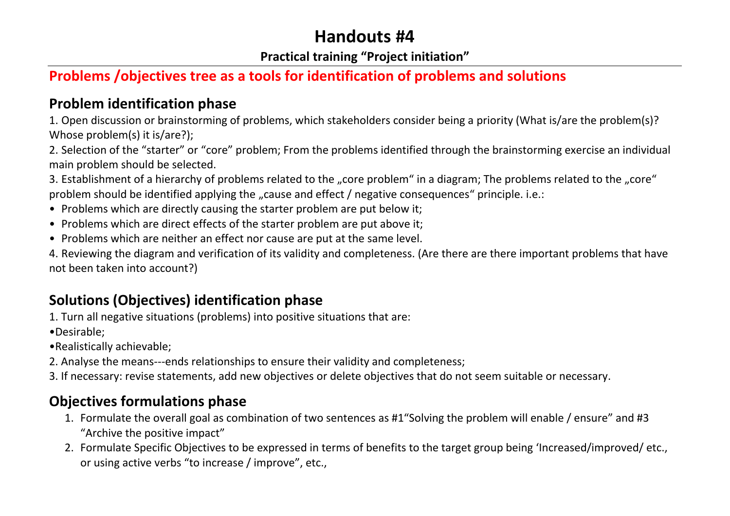# **Handouts #4**

#### **Practical training "Project initiation"**

## **Problems /objectives tree as a tools for identification of problems and solutions**

### **Problem identification phase**

1. Open discussion or brainstorming of problems, which stakeholders consider being a priority (What is/are the problem(s)? Whose problem(s) it is/are?);

2. Selection of the "starter" or "core" problem; From the problems identified through the brainstorming exercise an individual main problem should be selected.

3. Establishment of a hierarchy of problems related to the "core problem" in a diagram; The problems related to the "core" problem should be identified applying the "cause and effect / negative consequences" principle. i.e.:

- Problems which are directly causing the starter problem are put below it;
- Problems which are direct effects of the starter problem are put above it;
- Problems which are neither an effect nor cause are put at the same level.

4. Reviewing the diagram and verification of its validity and completeness. (Are there are there important problems that have not been taken into account?)

## **Solutions (Objectives) identification phase**

1. Turn all negative situations (problems) into positive situations that are:

- •Desirable;
- •Realistically achievable;
- 2. Analyse the means---ends relationships to ensure their validity and completeness;
- 3. If necessary: revise statements, add new objectives or delete objectives that do not seem suitable or necessary.

## **Objectives formulations phase**

- 1. Formulate the overall goal as combination of two sentences as #1"Solving the problem will enable / ensure" and #3 "Archive the positive impact"
- 2. Formulate Specific Objectives to be expressed in terms of benefits to the target group being 'Increased/improved/ etc., or using active verbs "to increase / improve", etc.,